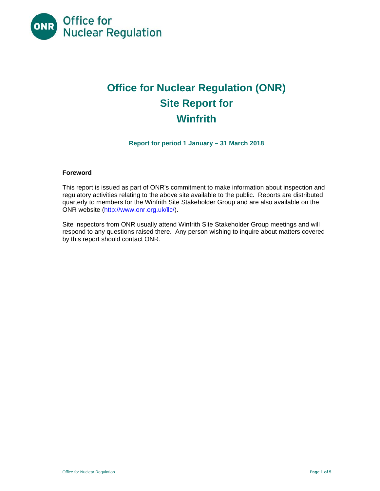

# **Office for Nuclear Regulation (ONR) Site Report for Winfrith**

**Report for period 1 January – 31 March 2018** 

## **Foreword**

This report is issued as part of ONR's commitment to make information about inspection and regulatory activities relating to the above site available to the public. Reports are distributed quarterly to members for the Winfrith Site Stakeholder Group and are also available on the ONR website (http://www.onr.org.uk/llc/).

Site inspectors from ONR usually attend Winfrith Site Stakeholder Group meetings and will respond to any questions raised there. Any person wishing to inquire about matters covered by this report should contact ONR.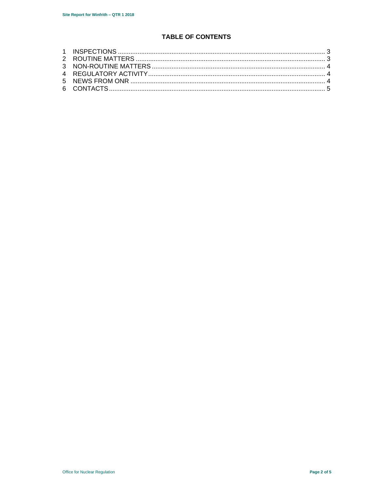# **TABLE OF CONTENTS**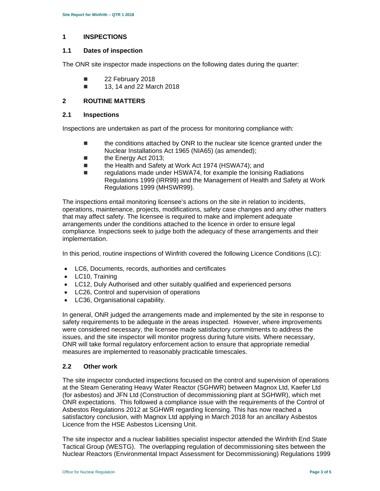#### **1 INSPECTIONS**

#### **1.1 Dates of inspection**

The ONR site inspector made inspections on the following dates during the quarter:

- **22 February 2018**
- 13, 14 and 22 March 2018

## **2 ROUTINE MATTERS**

#### **2.1 Inspections**

Inspections are undertaken as part of the process for monitoring compliance with:

- **the conditions attached by ONR to the nuclear site licence granted under the** Nuclear Installations Act 1965 (NIA65) (as amended);
- the Energy Act 2013;
- the Health and Safety at Work Act 1974 (HSWA74); and
- regulations made under HSWA74, for example the Ionising Radiations Regulations 1999 (IRR99) and the Management of Health and Safety at Work Regulations 1999 (MHSWR99).

The inspections entail monitoring licensee's actions on the site in relation to incidents, operations, maintenance, projects, modifications, safety case changes and any other matters that may affect safety. The licensee is required to make and implement adequate arrangements under the conditions attached to the licence in order to ensure legal compliance. Inspections seek to judge both the adequacy of these arrangements and their implementation.

In this period, routine inspections of Winfrith covered the following Licence Conditions (LC):

- LC6, Documents, records, authorities and certificates
- LC10, Training
- LC12, Duly Authorised and other suitably qualified and experienced persons
- LC26, Control and supervision of operations
- LC36, Organisational capability.

In general, ONR judged the arrangements made and implemented by the site in response to safety requirements to be adequate in the areas inspected. However, where improvements were considered necessary, the licensee made satisfactory commitments to address the issues, and the site inspector will monitor progress during future visits. Where necessary, ONR will take formal regulatory enforcement action to ensure that appropriate remedial measures are implemented to reasonably practicable timescales.

### **2.2 Other work**

The site inspector conducted inspections focused on the control and supervision of operations at the Steam Generating Heavy Water Reactor (SGHWR) between Magnox Ltd, Kaefer Ltd (for asbestos) and JFN Ltd (Construction of decommissioning plant at SGHWR), which met ONR expectations. This followed a compliance issue with the requirements of the Control of Asbestos Regulations 2012 at SGHWR regarding licensing. This has now reached a satisfactory conclusion, with Magnox Ltd applying in March 2018 for an ancillary Asbestos Licence from the HSE Asbestos Licensing Unit.

The site inspector and a nuclear liabilities specialist inspector attended the Winfrith End State Tactical Group (WESTG). The overlapping regulation of decommissioning sites between the Nuclear Reactors (Environmental Impact Assessment for Decommissioning) Regulations 1999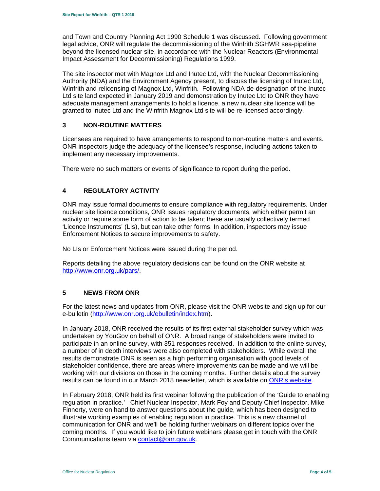and Town and Country Planning Act 1990 Schedule 1 was discussed. Following government legal advice, ONR will regulate the decommissioning of the Winfrith SGHWR sea-pipeline beyond the licensed nuclear site, in accordance with the Nuclear Reactors (Environmental Impact Assessment for Decommissioning) Regulations 1999.

The site inspector met with Magnox Ltd and Inutec Ltd, with the Nuclear Decommissioning Authority (NDA) and the Environment Agency present, to discuss the licensing of Inutec Ltd, Winfrith and relicensing of Magnox Ltd, Winfrith. Following NDA de-designation of the Inutec Ltd site land expected in January 2019 and demonstration by Inutec Ltd to ONR they have adequate management arrangements to hold a licence, a new nuclear site licence will be granted to Inutec Ltd and the Winfrith Magnox Ltd site will be re-licensed accordingly.

## **3 NON-ROUTINE MATTERS**

Licensees are required to have arrangements to respond to non-routine matters and events. ONR inspectors judge the adequacy of the licensee's response, including actions taken to implement any necessary improvements.

There were no such matters or events of significance to report during the period.

# **4 REGULATORY ACTIVITY**

ONR may issue formal documents to ensure compliance with regulatory requirements. Under nuclear site licence conditions, ONR issues regulatory documents, which either permit an activity or require some form of action to be taken; these are usually collectively termed 'Licence Instruments' (LIs), but can take other forms. In addition, inspectors may issue Enforcement Notices to secure improvements to safety.

No LIs or Enforcement Notices were issued during the period.

Reports detailing the above regulatory decisions can be found on the ONR website at http://www.onr.org.uk/pars/.

# **5 NEWS FROM ONR**

For the latest news and updates from ONR, please visit the ONR website and sign up for our e-bulletin (http://www.onr.org.uk/ebulletin/index.htm).

In January 2018, ONR received the results of its first external stakeholder survey which was undertaken by YouGov on behalf of ONR. A broad range of stakeholders were invited to participate in an online survey, with 351 responses received. In addition to the online survey, a number of in depth interviews were also completed with stakeholders. While overall the results demonstrate ONR is seen as a high performing organisation with good levels of stakeholder confidence, there are areas where improvements can be made and we will be working with our divisions on those in the coming months. Further details about the survey results can be found in our March 2018 newsletter, which is available on ONR's website.

In February 2018, ONR held its first webinar following the publication of the 'Guide to enabling regulation in practice.' Chief Nuclear Inspector, Mark Foy and Deputy Chief Inspector, Mike Finnerty, were on hand to answer questions about the guide, which has been designed to illustrate working examples of enabling regulation in practice. This is a new channel of communication for ONR and we'll be holding further webinars on different topics over the coming months. If you would like to join future webinars please get in touch with the ONR Communications team via contact@onr.gov.uk.